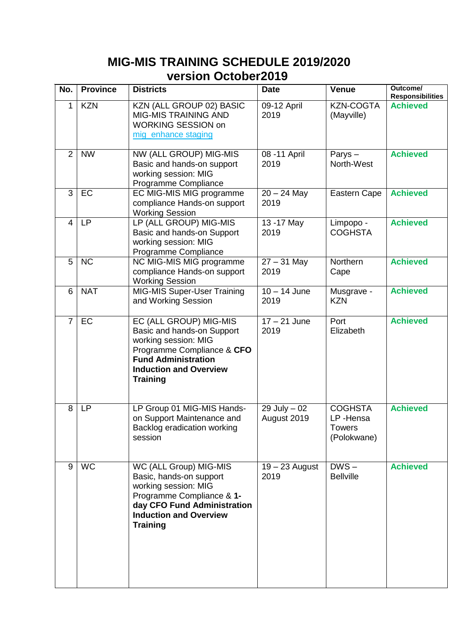## **MIG-MIS TRAINING SCHEDULE 2019/2020 version October2019**

| No.            | <b>Province</b> | <b>Districts</b>                                                                                                                                                                             | <b>Date</b>                    | <b>Venue</b>                                        | Outcome/<br><b>Responsibilities</b> |
|----------------|-----------------|----------------------------------------------------------------------------------------------------------------------------------------------------------------------------------------------|--------------------------------|-----------------------------------------------------|-------------------------------------|
| 1              | <b>KZN</b>      | KZN (ALL GROUP 02) BASIC<br><b>MIG-MIS TRAINING AND</b><br><b>WORKING SESSION on</b><br>mig enhance staging                                                                                  | 09-12 April<br>2019            | <b>KZN-COGTA</b><br>(Mayville)                      | <b>Achieved</b>                     |
| $\overline{2}$ | <b>NW</b>       | NW (ALL GROUP) MIG-MIS<br>Basic and hands-on support<br>working session: MIG<br>Programme Compliance                                                                                         | 08 - 11 April<br>2019          | Parys $-$<br>North-West                             | <b>Achieved</b>                     |
| 3              | EC              | EC MIG-MIS MIG programme<br>compliance Hands-on support<br><b>Working Session</b>                                                                                                            | $20 - 24$ May<br>2019          | <b>Eastern Cape</b>                                 | <b>Achieved</b>                     |
| $\overline{4}$ | <b>LP</b>       | LP (ALL GROUP) MIG-MIS<br>Basic and hands-on Support<br>working session: MIG<br>Programme Compliance                                                                                         | 13 - 17 May<br>2019            | Limpopo -<br><b>COGHSTA</b>                         | <b>Achieved</b>                     |
| 5              | <b>NC</b>       | NC MIG-MIS MIG programme<br>compliance Hands-on support<br><b>Working Session</b>                                                                                                            | $27 - 31$ May<br>2019          | Northern<br>Cape                                    | <b>Achieved</b>                     |
| 6              | <b>NAT</b>      | MIG-MIS Super-User Training<br>and Working Session                                                                                                                                           | $10 - 14$ June<br>2019         | Musgrave -<br><b>KZN</b>                            | <b>Achieved</b>                     |
| $\overline{7}$ | EC              | EC (ALL GROUP) MIG-MIS<br>Basic and hands-on Support<br>working session: MIG<br>Programme Compliance & CFO<br><b>Fund Administration</b><br><b>Induction and Overview</b><br><b>Training</b> | $17 - 21$ June<br>2019         | Port<br>Elizabeth                                   | <b>Achieved</b>                     |
| 8              | LP              | LP Group 01 MIG-MIS Hands-<br>on Support Maintenance and<br>Backlog eradication working<br>session                                                                                           | $29$ July $-02$<br>August 2019 | <b>COGHSTA</b><br>LP-Hensa<br>Towers<br>(Polokwane) | <b>Achieved</b>                     |
| 9              | <b>WC</b>       | WC (ALL Group) MIG-MIS<br>Basic, hands-on support<br>working session: MIG<br>Programme Compliance & 1-<br>day CFO Fund Administration<br><b>Induction and Overview</b><br><b>Training</b>    | $19 - 23$ August<br>2019       | $DWS -$<br><b>Bellville</b>                         | <b>Achieved</b>                     |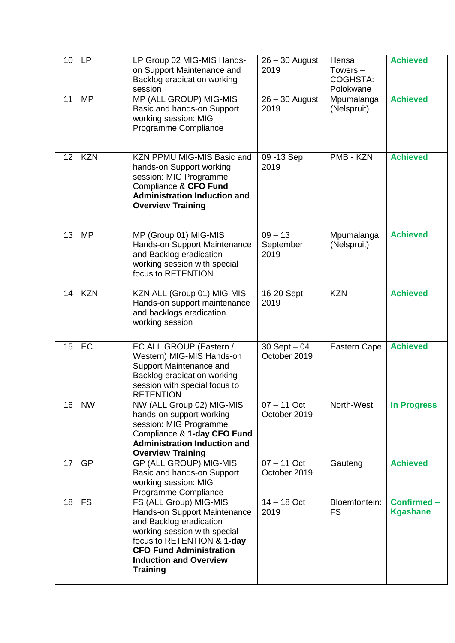| 10 | LP         | LP Group 02 MIG-MIS Hands-<br>on Support Maintenance and<br>Backlog eradication working<br>session                                                                                                                                    | $26 - 30$ August<br>2019        | Hensa<br>Towers $-$<br><b>COGHSTA:</b><br>Polokwane | <b>Achieved</b>               |
|----|------------|---------------------------------------------------------------------------------------------------------------------------------------------------------------------------------------------------------------------------------------|---------------------------------|-----------------------------------------------------|-------------------------------|
| 11 | <b>MP</b>  | MP (ALL GROUP) MIG-MIS<br>Basic and hands-on Support<br>working session: MIG<br>Programme Compliance                                                                                                                                  | $26 - 30$ August<br>2019        | Mpumalanga<br>(Nelspruit)                           | <b>Achieved</b>               |
| 12 | <b>KZN</b> | KZN PPMU MIG-MIS Basic and<br>hands-on Support working<br>session: MIG Programme<br>Compliance & CFO Fund<br><b>Administration Induction and</b><br><b>Overview Training</b>                                                          | 09 - 13 Sep<br>2019             | PMB - KZN                                           | <b>Achieved</b>               |
| 13 | <b>MP</b>  | MP (Group 01) MIG-MIS<br>Hands-on Support Maintenance<br>and Backlog eradication<br>working session with special<br>focus to RETENTION                                                                                                | $09 - 13$<br>September<br>2019  | Mpumalanga<br>(Nelspruit)                           | <b>Achieved</b>               |
| 14 | <b>KZN</b> | KZN ALL (Group 01) MIG-MIS<br>Hands-on support maintenance<br>and backlogs eradication<br>working session                                                                                                                             | 16-20 Sept<br>2019              | <b>KZN</b>                                          | <b>Achieved</b>               |
| 15 | EC         | EC ALL GROUP (Eastern /<br>Western) MIG-MIS Hands-on<br>Support Maintenance and<br>Backlog eradication working<br>session with special focus to<br><b>RETENTION</b>                                                                   | $30$ Sept $-04$<br>October 2019 | Eastern Cape                                        | <b>Achieved</b>               |
| 16 | <b>NW</b>  | NW (ALL Group 02) MIG-MIS<br>hands-on support working<br>session: MIG Programme<br>Compliance & 1-day CFO Fund<br><b>Administration Induction and</b><br><b>Overview Training</b>                                                     | $07 - 11$ Oct<br>October 2019   | North-West                                          | <b>In Progress</b>            |
| 17 | GP         | <b>GP (ALL GROUP) MIG-MIS</b><br>Basic and hands-on Support<br>working session: MIG<br>Programme Compliance                                                                                                                           | $07 - 11$ Oct<br>October 2019   | Gauteng                                             | <b>Achieved</b>               |
| 18 | <b>FS</b>  | FS (ALL Group) MIG-MIS<br>Hands-on Support Maintenance<br>and Backlog eradication<br>working session with special<br>focus to RETENTION & 1-day<br><b>CFO Fund Administration</b><br><b>Induction and Overview</b><br><b>Training</b> | $14 - 18$ Oct<br>2019           | Bloemfontein:<br><b>FS</b>                          | Confirmed-<br><b>Kgashane</b> |